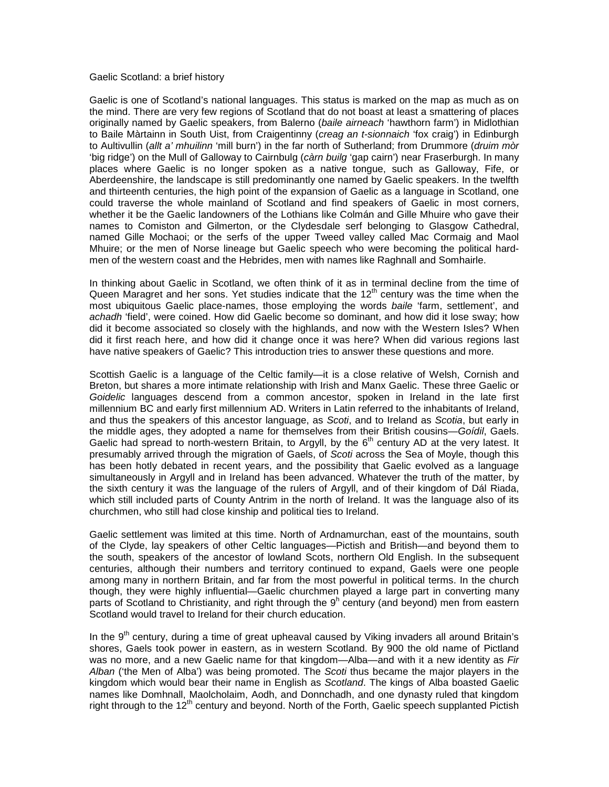## Gaelic Scotland: a brief history

Gaelic is one of Scotland's national languages. This status is marked on the map as much as on the mind. There are very few regions of Scotland that do not boast at least a smattering of places originally named by Gaelic speakers, from Balerno (*baile airneach* 'hawthorn farm') in Midlothian to Baile Màrtainn in South Uist, from Craigentinny (*creag an t-sionnaich* 'fox craig') in Edinburgh to Aultivullin (*allt a' mhuilinn* 'mill burn') in the far north of Sutherland; from Drummore (*druim mòr* 'big ridge') on the Mull of Galloway to Cairnbulg (*càrn builg* 'gap cairn') near Fraserburgh. In many places where Gaelic is no longer spoken as a native tongue, such as Galloway, Fife, or Aberdeenshire, the landscape is still predominantly one named by Gaelic speakers. In the twelfth and thirteenth centuries, the high point of the expansion of Gaelic as a language in Scotland, one could traverse the whole mainland of Scotland and find speakers of Gaelic in most corners, whether it be the Gaelic landowners of the Lothians like Colmán and Gille Mhuire who gave their names to Comiston and Gilmerton, or the Clydesdale serf belonging to Glasgow Cathedral, named Gille Mochaoi; or the serfs of the upper Tweed valley called Mac Cormaig and Maol Mhuire; or the men of Norse lineage but Gaelic speech who were becoming the political hardmen of the western coast and the Hebrides, men with names like Raghnall and Somhairle.

In thinking about Gaelic in Scotland, we often think of it as in terminal decline from the time of Queen Maragret and her sons. Yet studies indicate that the  $12<sup>th</sup>$  century was the time when the most ubiquitous Gaelic place-names, those employing the words *baile* 'farm, settlement', and *achadh* 'field', were coined. How did Gaelic become so dominant, and how did it lose sway; how did it become associated so closely with the highlands, and now with the Western Isles? When did it first reach here, and how did it change once it was here? When did various regions last have native speakers of Gaelic? This introduction tries to answer these questions and more.

Scottish Gaelic is a language of the Celtic family—it is a close relative of Welsh, Cornish and Breton, but shares a more intimate relationship with Irish and Manx Gaelic. These three Gaelic or *Goidelic* languages descend from a common ancestor, spoken in Ireland in the late first millennium BC and early first millennium AD. Writers in Latin referred to the inhabitants of Ireland, and thus the speakers of this ancestor language, as *Scoti*, and to Ireland as *Scotia*, but early in the middle ages, they adopted a name for themselves from their British cousins—*Goídil*, Gaels. Gaelic had spread to north-western Britain, to Argyll, by the 6<sup>th</sup> century AD at the very latest. It presumably arrived through the migration of Gaels, of *Scoti* across the Sea of Moyle, though this has been hotly debated in recent years, and the possibility that Gaelic evolved as a language simultaneously in Argyll and in Ireland has been advanced. Whatever the truth of the matter, by the sixth century it was the language of the rulers of Argyll, and of their kingdom of Dál Riada, which still included parts of County Antrim in the north of Ireland. It was the language also of its churchmen, who still had close kinship and political ties to Ireland.

Gaelic settlement was limited at this time. North of Ardnamurchan, east of the mountains, south of the Clyde, lay speakers of other Celtic languages—Pictish and British—and beyond them to the south, speakers of the ancestor of lowland Scots, northern Old English. In the subsequent centuries, although their numbers and territory continued to expand, Gaels were one people among many in northern Britain, and far from the most powerful in political terms. In the church though, they were highly influential—Gaelic churchmen played a large part in converting many parts of Scotland to Christianity, and right through the  $9<sup>h</sup>$  century (and beyond) men from eastern Scotland would travel to Ireland for their church education.

In the  $9<sup>th</sup>$  century, during a time of great upheaval caused by Viking invaders all around Britain's shores, Gaels took power in eastern, as in western Scotland. By 900 the old name of Pictland was no more, and a new Gaelic name for that kingdom—Alba—and with it a new identity as *Fir Alban* ('the Men of Alba') was being promoted. The *Scoti* thus became the major players in the kingdom which would bear their name in English as *Scotland*. The kings of Alba boasted Gaelic names like Domhnall, Maolcholaim, Aodh, and Donnchadh, and one dynasty ruled that kingdom right through to the  $12<sup>th</sup>$  century and beyond. North of the Forth, Gaelic speech supplanted Pictish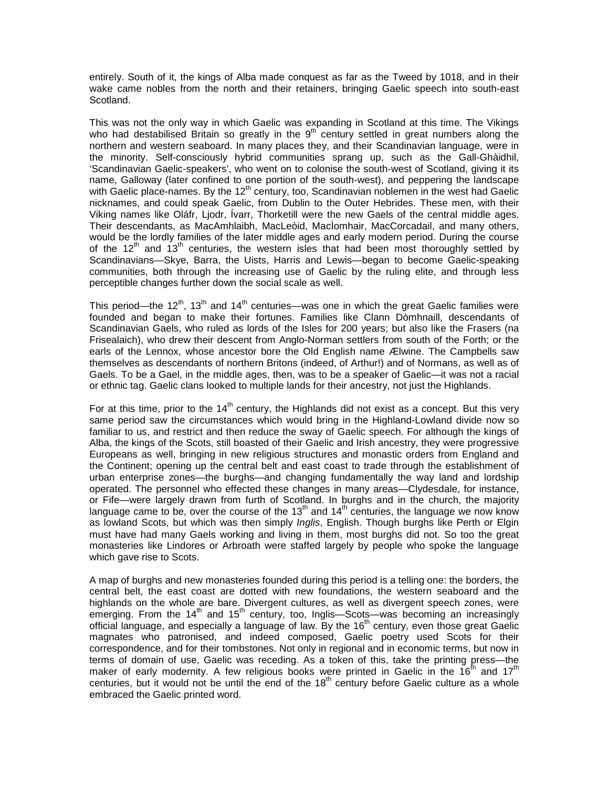entirely. South of it, the kings of Alba made conquest as far as the Tweed by 1018, and in their wake came nobles from the north and their retainers, bringing Gaelic speech into south-east Scotland.

This was not the only way in which Gaelic was expanding in Scotland at this time. The Vikings who had destabilised Britain so greatly in the  $9<sup>th</sup>$  century settled in great numbers along the northern and western seaboard. In many places they, and their Scandinavian language, were in the minority. Self-consciously hybrid communities sprang up, such as the Gall-Ghàidhil, 'Scandinavian Gaelic-speakers', who went on to colonise the south-west of Scotland, giving it its name, Galloway (later confined to one portion of the south-west), and peppering the landscape with Gaelic place-names. By the  $12<sup>th</sup>$  century, too, Scandinavian noblemen in the west had Gaelic nicknames, and could speak Gaelic, from Dublin to the Outer Hebrides. These men, with their Viking names like Oláfr, Ljodr, Ívarr, Thorketill were the new Gaels of the central middle ages. Their descendants, as MacAmhlaibh, MacLeòid, MacÌomhair, MacCorcadail, and many others, would be the lordly families of the later middle ages and early modern period. During the course of the 12<sup>th</sup> and 13<sup>th</sup> centuries, the western isles that had been most thoroughly settled by Scandinavians—Skye, Barra, the Uists, Harris and Lewis—began to become Gaelic-speaking communities, both through the increasing use of Gaelic by the ruling elite, and through less perceptible changes further down the social scale as well.

This period—the 12<sup>th</sup>, 13<sup>th</sup> and 14<sup>th</sup> centuries—was one in which the great Gaelic families were founded and began to make their fortunes. Families like Clann Dòmhnaill, descendants of Scandinavian Gaels, who ruled as lords of the Isles for 200 years; but also like the Frasers (na Frisealaich), who drew their descent from Anglo-Norman settlers from south of the Forth; or the earls of the Lennox, whose ancestor bore the Old English name Ælwine. The Campbells saw themselves as descendants of northern Britons (indeed, of Arthur!) and of Normans, as well as of Gaels. To be a Gael, in the middle ages, then, was to be a speaker of Gaelic—it was not a racial or ethnic tag. Gaelic clans looked to multiple lands for their ancestry, not just the Highlands.

For at this time, prior to the 14<sup>th</sup> century, the Highlands did not exist as a concept. But this very same period saw the circumstances which would bring in the Highland-Lowland divide now so familiar to us, and restrict and then reduce the sway of Gaelic speech. For although the kings of Alba, the kings of the Scots, still boasted of their Gaelic and Irish ancestry, they were progressive Europeans as well, bringing in new religious structures and monastic orders from England and the Continent; opening up the central belt and east coast to trade through the establishment of urban enterprise zones—the burghs—and changing fundamentally the way land and lordship operated. The personnel who effected these changes in many areas—Clydesdale, for instance, or Fife—were largely drawn from furth of Scotland. In burghs and in the church, the majority language came to be, over the course of the 13<sup>th</sup> and 14<sup>th</sup> centuries, the language we now know as lowland Scots, but which was then simply *Inglis*, English. Though burghs like Perth or Elgin must have had many Gaels working and living in them, most burghs did not. So too the great monasteries like Lindores or Arbroath were staffed largely by people who spoke the language which gave rise to Scots.

A map of burghs and new monasteries founded during this period is a telling one: the borders, the central belt, the east coast are dotted with new foundations, the western seaboard and the highlands on the whole are bare. Divergent cultures, as well as divergent speech zones, were emerging. From the 14<sup>th</sup> and 15<sup>th</sup> century, too, Inglis—Scots—was becoming an increasingly official language, and especially a language of law. By the  $16<sup>th</sup>$  century, even those great Gaelic magnates who patronised, and indeed composed, Gaelic poetry used Scots for their correspondence, and for their tombstones. Not only in regional and in economic terms, but now in terms of domain of use, Gaelic was receding. As a token of this, take the printing press—the maker of early modernity. A few religious books were printed in Gaelic in the  $16^{th}$  and  $17^{th}$ centuries, but it would not be until the end of the  $18<sup>th</sup>$  century before Gaelic culture as a whole embraced the Gaelic printed word.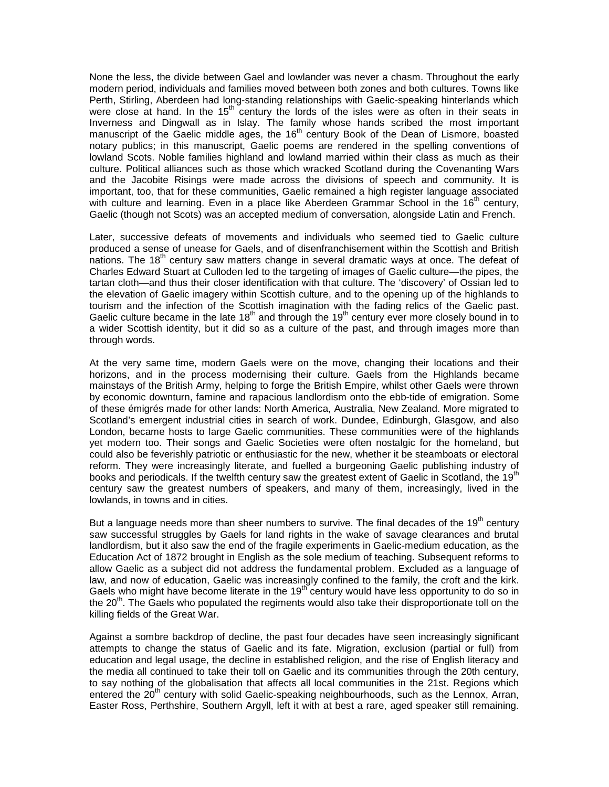None the less, the divide between Gael and lowlander was never a chasm. Throughout the early modern period, individuals and families moved between both zones and both cultures. Towns like Perth, Stirling, Aberdeen had long-standing relationships with Gaelic-speaking hinterlands which were close at hand. In the  $15<sup>th</sup>$  century the lords of the isles were as often in their seats in Inverness and Dingwall as in Islay. The family whose hands scribed the most important manuscript of the Gaelic middle ages, the  $16<sup>th</sup>$  century Book of the Dean of Lismore, boasted notary publics; in this manuscript, Gaelic poems are rendered in the spelling conventions of lowland Scots. Noble families highland and lowland married within their class as much as their culture. Political alliances such as those which wracked Scotland during the Covenanting Wars and the Jacobite Risings were made across the divisions of speech and community. It is important, too, that for these communities, Gaelic remained a high register language associated with culture and learning. Even in a place like Aberdeen Grammar School in the  $16<sup>th</sup>$  century, Gaelic (though not Scots) was an accepted medium of conversation, alongside Latin and French.

Later, successive defeats of movements and individuals who seemed tied to Gaelic culture produced a sense of unease for Gaels, and of disenfranchisement within the Scottish and British nations. The  $18<sup>th</sup>$  century saw matters change in several dramatic ways at once. The defeat of Charles Edward Stuart at Culloden led to the targeting of images of Gaelic culture—the pipes, the tartan cloth—and thus their closer identification with that culture. The 'discovery' of Ossian led to the elevation of Gaelic imagery within Scottish culture, and to the opening up of the highlands to tourism and the infection of the Scottish imagination with the fading relics of the Gaelic past. Gaelic culture became in the late  $18^{th}$  and through the  $19^{th}$  century ever more closely bound in to a wider Scottish identity, but it did so as a culture of the past, and through images more than through words.

At the very same time, modern Gaels were on the move, changing their locations and their horizons, and in the process modernising their culture. Gaels from the Highlands became mainstays of the British Army, helping to forge the British Empire, whilst other Gaels were thrown by economic downturn, famine and rapacious landlordism onto the ebb-tide of emigration. Some of these émigrés made for other lands: North America, Australia, New Zealand. More migrated to Scotland's emergent industrial cities in search of work. Dundee, Edinburgh, Glasgow, and also London, became hosts to large Gaelic communities. These communities were of the highlands yet modern too. Their songs and Gaelic Societies were often nostalgic for the homeland, but could also be feverishly patriotic or enthusiastic for the new, whether it be steamboats or electoral reform. They were increasingly literate, and fuelled a burgeoning Gaelic publishing industry of books and periodicals. If the twelfth century saw the greatest extent of Gaelic in Scotland, the 19<sup>th</sup> century saw the greatest numbers of speakers, and many of them, increasingly, lived in the lowlands, in towns and in cities.

But a language needs more than sheer numbers to survive. The final decades of the  $19<sup>th</sup>$  century saw successful struggles by Gaels for land rights in the wake of savage clearances and brutal landlordism, but it also saw the end of the fragile experiments in Gaelic-medium education, as the Education Act of 1872 brought in English as the sole medium of teaching. Subsequent reforms to allow Gaelic as a subject did not address the fundamental problem. Excluded as a language of law, and now of education, Gaelic was increasingly confined to the family, the croft and the kirk. Gaels who might have become literate in the  $19<sup>th</sup>$  century would have less opportunity to do so in the 20<sup>th</sup>. The Gaels who populated the regiments would also take their disproportionate toll on the killing fields of the Great War.

Against a sombre backdrop of decline, the past four decades have seen increasingly significant attempts to change the status of Gaelic and its fate. Migration, exclusion (partial or full) from education and legal usage, the decline in established religion, and the rise of English literacy and the media all continued to take their toll on Gaelic and its communities through the 20th century, to say nothing of the globalisation that affects all local communities in the 21st. Regions which entered the 20<sup>th</sup> century with solid Gaelic-speaking neighbourhoods, such as the Lennox, Arran, Easter Ross, Perthshire, Southern Argyll, left it with at best a rare, aged speaker still remaining.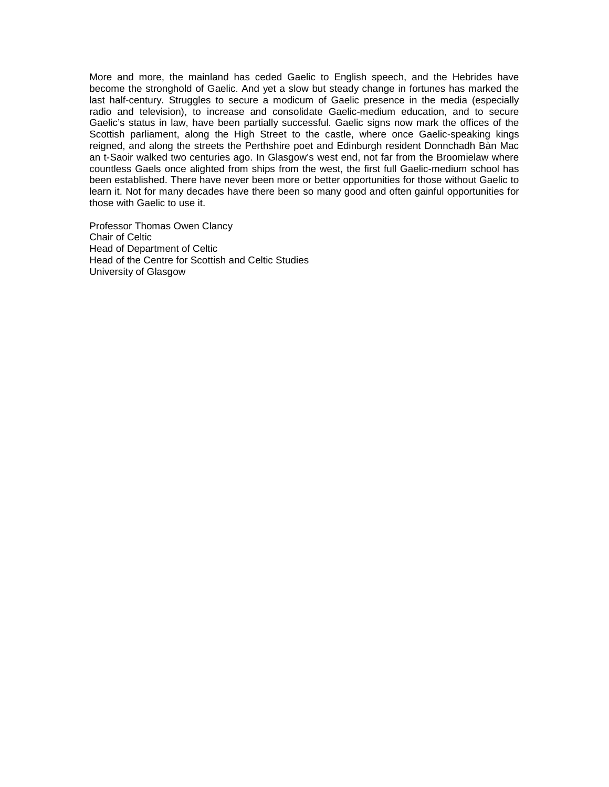More and more, the mainland has ceded Gaelic to English speech, and the Hebrides have become the stronghold of Gaelic. And yet a slow but steady change in fortunes has marked the last half-century. Struggles to secure a modicum of Gaelic presence in the media (especially radio and television), to increase and consolidate Gaelic-medium education, and to secure Gaelic's status in law, have been partially successful. Gaelic signs now mark the offices of the Scottish parliament, along the High Street to the castle, where once Gaelic-speaking kings reigned, and along the streets the Perthshire poet and Edinburgh resident Donnchadh Bàn Mac an t-Saoir walked two centuries ago. In Glasgow's west end, not far from the Broomielaw where countless Gaels once alighted from ships from the west, the first full Gaelic-medium school has been established. There have never been more or better opportunities for those without Gaelic to learn it. Not for many decades have there been so many good and often gainful opportunities for those with Gaelic to use it.

Professor Thomas Owen Clancy Chair of Celtic Head of Department of Celtic Head of the Centre for Scottish and Celtic Studies University of Glasgow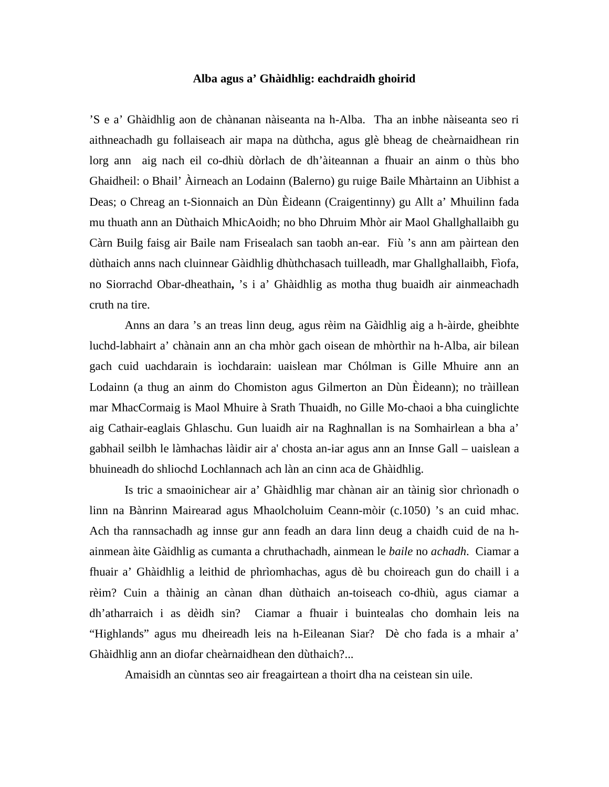## **Alba agus a' Ghàidhlig: eachdraidh ghoirid**

'S e a' Ghàidhlig aon de chànanan nàiseanta na h-Alba. Tha an inbhe nàiseanta seo ri aithneachadh gu follaiseach air mapa na dùthcha, agus glè bheag de cheàrnaidhean rin lorg ann aig nach eil co-dhiù dòrlach de dh'àiteannan a fhuair an ainm o thùs bho Ghaidheil: o Bhail' Àirneach an Lodainn (Balerno) gu ruige Baile Mhàrtainn an Uibhist a Deas; o Chreag an t-Sionnaich an Dùn Èideann (Craigentinny) gu Allt a' Mhuilinn fada mu thuath ann an Dùthaich MhicAoidh; no bho Dhruim Mhòr air Maol Ghallghallaibh gu Càrn Builg faisg air Baile nam Frisealach san taobh an-ear. Fiù 's ann am pàirtean den dùthaich anns nach cluinnear Gàidhlig dhùthchasach tuilleadh, mar Ghallghallaibh, Fìofa, no Siorrachd Obar-dheathain**,** 's i a' Ghàidhlig as motha thug buaidh air ainmeachadh cruth na tire.

Anns an dara 's an treas linn deug, agus rèim na Gàidhlig aig a h-àirde, gheibhte luchd-labhairt a' chànain ann an cha mhòr gach oisean de mhòrthìr na h-Alba, air bilean gach cuid uachdarain is ìochdarain: uaislean mar Chólman is Gille Mhuire ann an Lodainn (a thug an ainm do Chomiston agus Gilmerton an Dùn Èideann); no tràillean mar MhacCormaig is Maol Mhuire à Srath Thuaidh, no Gille Mo-chaoi a bha cuinglichte aig Cathair-eaglais Ghlaschu. Gun luaidh air na Raghnallan is na Somhairlean a bha a' gabhail seilbh le làmhachas làidir air a' chosta an-iar agus ann an Innse Gall – uaislean a bhuineadh do shliochd Lochlannach ach làn an cinn aca de Ghàidhlig.

Is tric a smaoinichear air a' Ghàidhlig mar chànan air an tàinig sìor chrìonadh o linn na Bànrinn Mairearad agus Mhaolcholuim Ceann-mòir (c.1050) 's an cuid mhac. Ach tha rannsachadh ag innse gur ann feadh an dara linn deug a chaidh cuid de na hainmean àite Gàidhlig as cumanta a chruthachadh, ainmean le *baile* no *achadh*. Ciamar a fhuair a' Ghàidhlig a leithid de phrìomhachas, agus dè bu choireach gun do chaill i a rèim? Cuin a thàinig an cànan dhan dùthaich an-toiseach co-dhiù, agus ciamar a dh'atharraich i as dèidh sin? Ciamar a fhuair i buintealas cho domhain leis na "Highlands" agus mu dheireadh leis na h-Eileanan Siar? Dè cho fada is a mhair a' Ghàidhlig ann an diofar cheàrnaidhean den dùthaich?...

Amaisidh an cùnntas seo air freagairtean a thoirt dha na ceistean sin uile.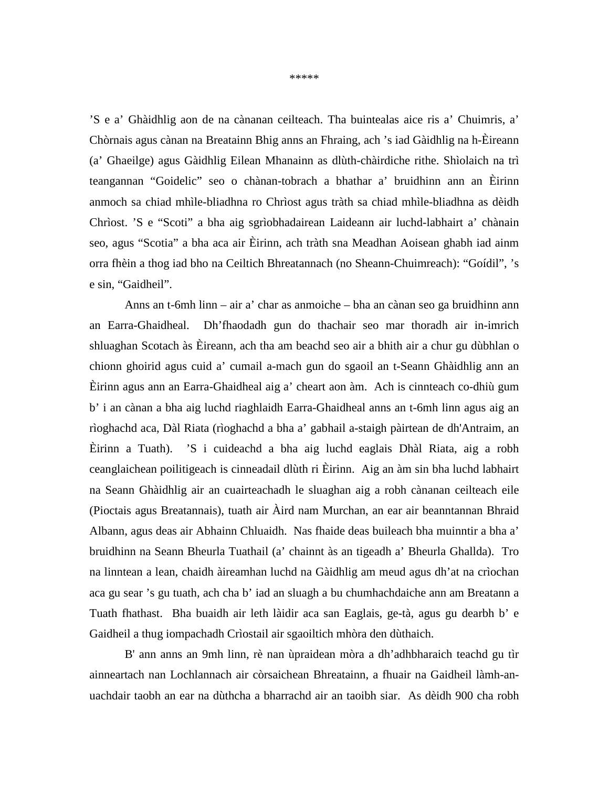\*\*\*\*\*

'S e a' Ghàidhlig aon de na cànanan ceilteach. Tha buintealas aice ris a' Chuimris, a' Chòrnais agus cànan na Breatainn Bhig anns an Fhraing, ach 's iad Gàidhlig na h-Èireann (a' Ghaeilge) agus Gàidhlig Eilean Mhanainn as dlùth-chàirdiche rithe. Shìolaich na trì teangannan "Goidelic" seo o chànan-tobrach a bhathar a' bruidhinn ann an Èirinn anmoch sa chiad mhìle-bliadhna ro Chrìost agus tràth sa chiad mhìle-bliadhna as dèidh Chrìost. 'S e "Scoti" a bha aig sgrìobhadairean Laideann air luchd-labhairt a' chànain seo, agus "Scotia" a bha aca air Èirinn, ach tràth sna Meadhan Aoisean ghabh iad ainm orra fhèin a thog iad bho na Ceiltich Bhreatannach (no Sheann-Chuimreach): "Goídil", 's e sin, "Gaidheil".

Anns an t-6mh linn – air a' char as anmoiche – bha an cànan seo ga bruidhinn ann an Earra-Ghaidheal. Dh'fhaodadh gun do thachair seo mar thoradh air in-imrich shluaghan Scotach às Èireann, ach tha am beachd seo air a bhith air a chur gu dùbhlan o chionn ghoirid agus cuid a' cumail a-mach gun do sgaoil an t-Seann Ghàidhlig ann an Èirinn agus ann an Earra-Ghaidheal aig a' cheart aon àm. Ach is cinnteach co-dhiù gum b' i an cànan a bha aig luchd riaghlaidh Earra-Ghaidheal anns an t-6mh linn agus aig an rìoghachd aca, Dàl Riata (rìoghachd a bha a' gabhail a-staigh pàirtean de dh'Antraim, an Èirinn a Tuath). 'S i cuideachd a bha aig luchd eaglais Dhàl Riata, aig a robh ceanglaichean poilitigeach is cinneadail dlùth ri Èirinn. Aig an àm sin bha luchd labhairt na Seann Ghàidhlig air an cuairteachadh le sluaghan aig a robh cànanan ceilteach eile (Pioctais agus Breatannais), tuath air Àird nam Murchan, an ear air beanntannan Bhraid Albann, agus deas air Abhainn Chluaidh. Nas fhaide deas buileach bha muinntir a bha a' bruidhinn na Seann Bheurla Tuathail (a' chainnt às an tigeadh a' Bheurla Ghallda). Tro na linntean a lean, chaidh àireamhan luchd na Gàidhlig am meud agus dh'at na crìochan aca gu sear 's gu tuath, ach cha b' iad an sluagh a bu chumhachdaiche ann am Breatann a Tuath fhathast. Bha buaidh air leth làidir aca san Eaglais, ge-tà, agus gu dearbh b' e Gaidheil a thug iompachadh Crìostail air sgaoiltich mhòra den dùthaich.

B' ann anns an 9mh linn, rè nan ùpraidean mòra a dh'adhbharaich teachd gu tìr ainneartach nan Lochlannach air còrsaichean Bhreatainn, a fhuair na Gaidheil làmh-anuachdair taobh an ear na dùthcha a bharrachd air an taoibh siar. As dèidh 900 cha robh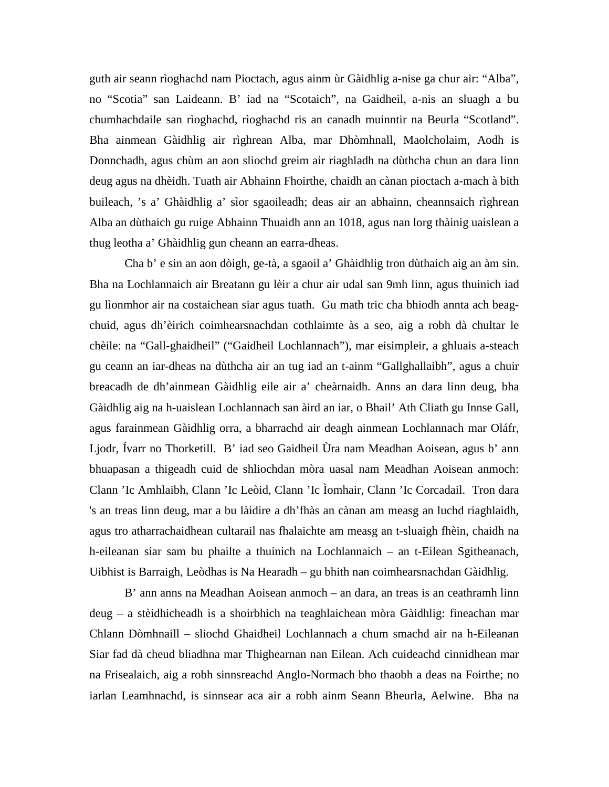guth air seann rìoghachd nam Pioctach, agus ainm ùr Gàidhlig a-nise ga chur air: "Alba", no "Scotia" san Laideann. B' iad na "Scotaich", na Gaidheil, a-nis an sluagh a bu chumhachdaile san rìoghachd, rìoghachd ris an canadh muinntir na Beurla "Scotland". Bha ainmean Gàidhlig air rìghrean Alba, mar Dhòmhnall, Maolcholaim, Aodh is Donnchadh, agus chùm an aon sliochd greim air riaghladh na dùthcha chun an dara linn deug agus na dhèidh. Tuath air Abhainn Fhoirthe, chaidh an cànan pioctach a-mach à bith buileach, 's a' Ghàidhlig a' sìor sgaoileadh; deas air an abhainn, cheannsaich rìghrean Alba an dùthaich gu ruige Abhainn Thuaidh ann an 1018, agus nan lorg thàinig uaislean a thug leotha a' Ghàidhlig gun cheann an earra-dheas.

Cha b' e sin an aon dòigh, ge-tà, a sgaoil a' Ghàidhlig tron dùthaich aig an àm sin. Bha na Lochlannaich air Breatann gu lèir a chur air udal san 9mh linn, agus thuinich iad gu lìonmhor air na costaichean siar agus tuath. Gu math tric cha bhiodh annta ach beagchuid, agus dh'èirich coimhearsnachdan cothlaimte às a seo, aig a robh dà chultar le chèile: na "Gall-ghaidheil" ("Gaidheil Lochlannach"), mar eisimpleir, a ghluais a-steach gu ceann an iar-dheas na dùthcha air an tug iad an t-ainm "Gallghallaibh", agus a chuir breacadh de dh'ainmean Gàidhlig eile air a' cheàrnaidh. Anns an dara linn deug, bha Gàidhlig aig na h-uaislean Lochlannach san àird an iar, o Bhail' Ath Cliath gu Innse Gall, agus farainmean Gàidhlig orra, a bharrachd air deagh ainmean Lochlannach mar Oláfr, Ljodr, Ívarr no Thorketill. B' iad seo Gaidheil Ùra nam Meadhan Aoisean, agus b' ann bhuapasan a thigeadh cuid de shliochdan mòra uasal nam Meadhan Aoisean anmoch: Clann 'Ic Amhlaibh, Clann 'Ic Leòid, Clann 'Ic Ìomhair, Clann 'Ic Corcadail. Tron dara 's an treas linn deug, mar a bu làidire a dh'fhàs an cànan am measg an luchd riaghlaidh, agus tro atharrachaidhean cultarail nas fhalaichte am measg an t-sluaigh fhèin, chaidh na h-eileanan siar sam bu phailte a thuinich na Lochlannaich – an t-Eilean Sgitheanach, Uibhist is Barraigh, Leòdhas is Na Hearadh – gu bhith nan coimhearsnachdan Gàidhlig.

B' ann anns na Meadhan Aoisean anmoch – an dara, an treas is an ceathramh linn deug – a stèidhicheadh is a shoirbhich na teaghlaichean mòra Gàidhlig: fineachan mar Chlann Dòmhnaill – sliochd Ghaidheil Lochlannach a chum smachd air na h-Eileanan Siar fad dà cheud bliadhna mar Thighearnan nan Eilean. Ach cuideachd cinnidhean mar na Frisealaich, aig a robh sinnsreachd Anglo-Normach bho thaobh a deas na Foirthe; no iarlan Leamhnachd, is sinnsear aca air a robh ainm Seann Bheurla, Aelwine. Bha na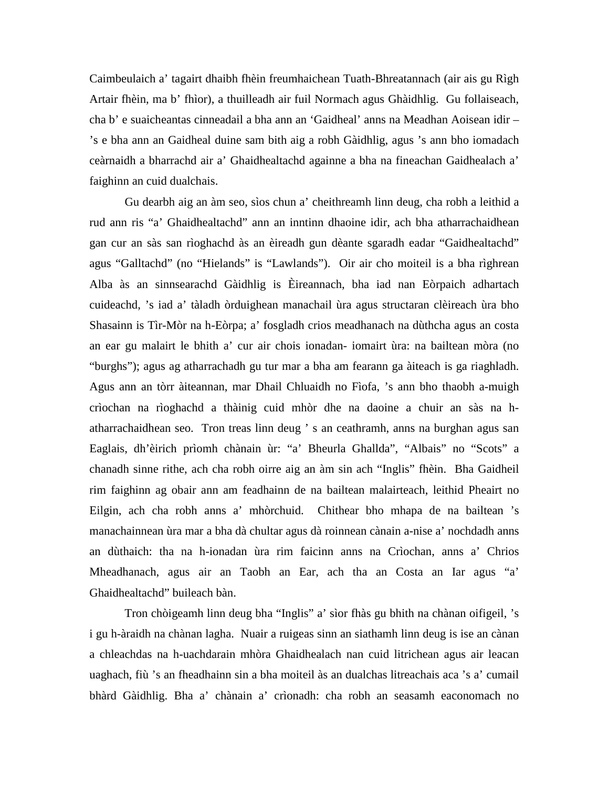Caimbeulaich a' tagairt dhaibh fhèin freumhaichean Tuath-Bhreatannach (air ais gu Rìgh Artair fhèin, ma b' fhìor), a thuilleadh air fuil Normach agus Ghàidhlig. Gu follaiseach, cha b' e suaicheantas cinneadail a bha ann an 'Gaidheal' anns na Meadhan Aoisean idir – 's e bha ann an Gaidheal duine sam bith aig a robh Gàidhlig, agus 's ann bho iomadach ceàrnaidh a bharrachd air a' Ghaidhealtachd againne a bha na fineachan Gaidhealach a' faighinn an cuid dualchais.

Gu dearbh aig an àm seo, sìos chun a' cheithreamh linn deug, cha robh a leithid a rud ann ris "a' Ghaidhealtachd" ann an inntinn dhaoine idir, ach bha atharrachaidhean gan cur an sàs san rìoghachd às an èireadh gun dèante sgaradh eadar "Gaidhealtachd" agus "Galltachd" (no "Hielands" is "Lawlands"). Oir air cho moiteil is a bha rìghrean Alba às an sinnsearachd Gàidhlig is Èireannach, bha iad nan Eòrpaich adhartach cuideachd, 's iad a' tàladh òrduighean manachail ùra agus structaran clèireach ùra bho Shasainn is Tìr-Mòr na h-Eòrpa; a' fosgladh crios meadhanach na dùthcha agus an costa an ear gu malairt le bhith a' cur air chois ionadan- iomairt ùra: na bailtean mòra (no "burghs"); agus ag atharrachadh gu tur mar a bha am fearann ga àiteach is ga riaghladh. Agus ann an tòrr àiteannan, mar Dhail Chluaidh no Fìofa, 's ann bho thaobh a-muigh crìochan na rìoghachd a thàinig cuid mhòr dhe na daoine a chuir an sàs na hatharrachaidhean seo. Tron treas linn deug ' s an ceathramh, anns na burghan agus san Eaglais, dh'èirich prìomh chànain ùr: "a' Bheurla Ghallda", "Albais" no "Scots" a chanadh sinne rithe, ach cha robh oirre aig an àm sin ach "Inglis" fhèin. Bha Gaidheil rim faighinn ag obair ann am feadhainn de na bailtean malairteach, leithid Pheairt no Eilgin, ach cha robh anns a' mhòrchuid. Chithear bho mhapa de na bailtean 's manachainnean ùra mar a bha dà chultar agus dà roinnean cànain a-nise a' nochdadh anns an dùthaich: tha na h-ionadan ùra rim faicinn anns na Crìochan, anns a' Chrios Mheadhanach, agus air an Taobh an Ear, ach tha an Costa an Iar agus "a' Ghaidhealtachd" buileach bàn.

Tron chòigeamh linn deug bha "Inglis" a' sìor fhàs gu bhith na chànan oifigeil, 's i gu h-àraidh na chànan lagha. Nuair a ruigeas sinn an siathamh linn deug is ise an cànan a chleachdas na h-uachdarain mhòra Ghaidhealach nan cuid litrichean agus air leacan uaghach, fiù 's an fheadhainn sin a bha moiteil às an dualchas litreachais aca 's a' cumail bhàrd Gàidhlig. Bha a' chànain a' crìonadh: cha robh an seasamh eaconomach no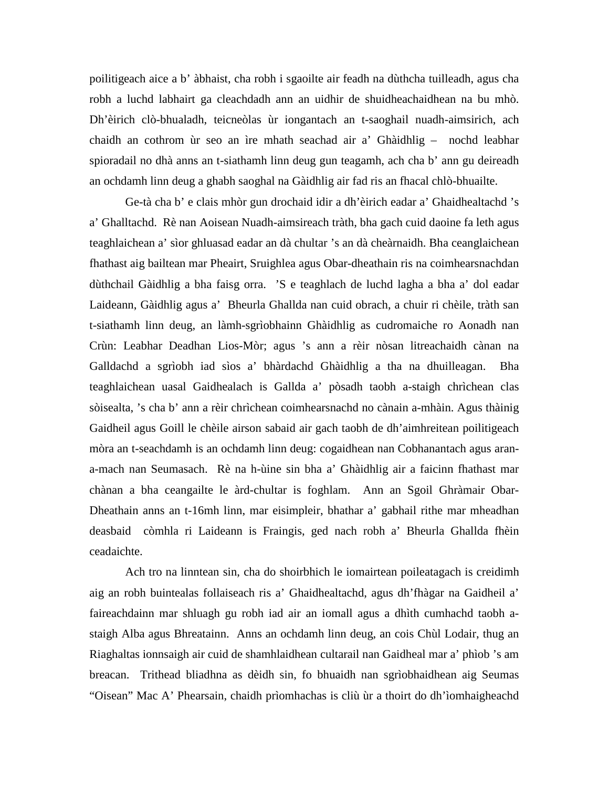poilitigeach aice a b' àbhaist, cha robh i sgaoilte air feadh na dùthcha tuilleadh, agus cha robh a luchd labhairt ga cleachdadh ann an uidhir de shuidheachaidhean na bu mhò. Dh'èirich clò-bhualadh, teicneòlas ùr iongantach an t-saoghail nuadh-aimsirich, ach chaidh an cothrom ùr seo an ìre mhath seachad air a' Ghàidhlig – nochd leabhar spioradail no dhà anns an t-siathamh linn deug gun teagamh, ach cha b' ann gu deireadh an ochdamh linn deug a ghabh saoghal na Gàidhlig air fad ris an fhacal chlò-bhuailte.

Ge-tà cha b' e clais mhòr gun drochaid idir a dh'èirich eadar a' Ghaidhealtachd 's a' Ghalltachd. Rè nan Aoisean Nuadh-aimsireach tràth, bha gach cuid daoine fa leth agus teaghlaichean a' sìor ghluasad eadar an dà chultar 's an dà cheàrnaidh. Bha ceanglaichean fhathast aig bailtean mar Pheairt, Sruighlea agus Obar-dheathain ris na coimhearsnachdan dùthchail Gàidhlig a bha faisg orra. 'S e teaghlach de luchd lagha a bha a' dol eadar Laideann, Gàidhlig agus a' Bheurla Ghallda nan cuid obrach, a chuir ri chèile, tràth san t-siathamh linn deug, an làmh-sgrìobhainn Ghàidhlig as cudromaiche ro Aonadh nan Crùn: Leabhar Deadhan Lios-Mòr; agus 's ann a rèir nòsan litreachaidh cànan na Galldachd a sgrìobh iad sìos a' bhàrdachd Ghàidhlig a tha na dhuilleagan. Bha teaghlaichean uasal Gaidhealach is Gallda a' pòsadh taobh a-staigh chrìchean clas sòisealta, 's cha b' ann a rèir chrìchean coimhearsnachd no cànain a-mhàin. Agus thàinig Gaidheil agus Goill le chèile airson sabaid air gach taobh de dh'aimhreitean poilitigeach mòra an t-seachdamh is an ochdamh linn deug: cogaidhean nan Cobhanantach agus arana-mach nan Seumasach. Rè na h-ùine sin bha a' Ghàidhlig air a faicinn fhathast mar chànan a bha ceangailte le àrd-chultar is foghlam. Ann an Sgoil Ghràmair Obar-Dheathain anns an t-16mh linn, mar eisimpleir, bhathar a' gabhail rithe mar mheadhan deasbaid còmhla ri Laideann is Fraingis, ged nach robh a' Bheurla Ghallda fhèin ceadaichte.

Ach tro na linntean sin, cha do shoirbhich le iomairtean poileatagach is creidimh aig an robh buintealas follaiseach ris a' Ghaidhealtachd, agus dh'fhàgar na Gaidheil a' faireachdainn mar shluagh gu robh iad air an iomall agus a dhìth cumhachd taobh astaigh Alba agus Bhreatainn. Anns an ochdamh linn deug, an cois Chùl Lodair, thug an Riaghaltas ionnsaigh air cuid de shamhlaidhean cultarail nan Gaidheal mar a' phìob 's am breacan. Trithead bliadhna as dèidh sin, fo bhuaidh nan sgrìobhaidhean aig Seumas "Oisean" Mac A' Phearsain, chaidh prìomhachas is cliù ùr a thoirt do dh'ìomhaigheachd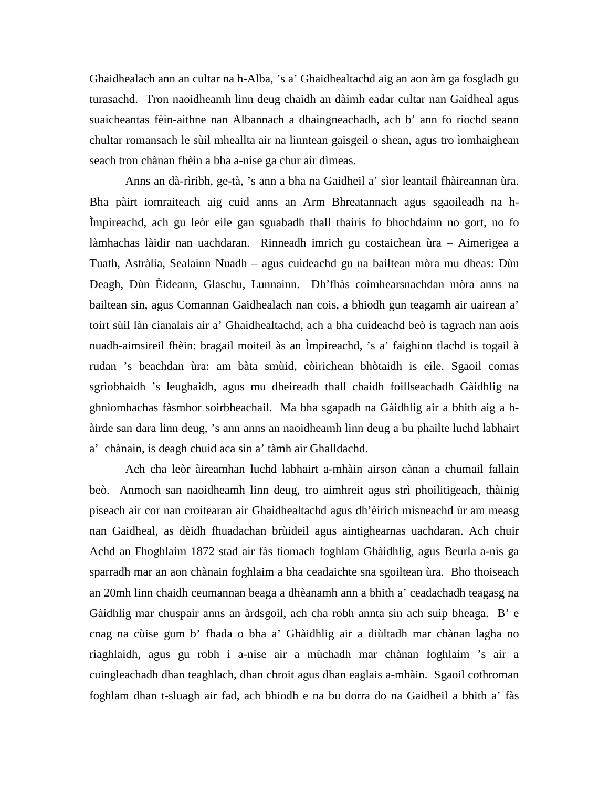Ghaidhealach ann an cultar na h-Alba, 's a' Ghaidhealtachd aig an aon àm ga fosgladh gu turasachd. Tron naoidheamh linn deug chaidh an dàimh eadar cultar nan Gaidheal agus suaicheantas fèin-aithne nan Albannach a dhaingneachadh, ach b' ann fo riochd seann chultar romansach le sùil mheallta air na linntean gaisgeil o shean, agus tro ìomhaighean seach tron chànan fhèin a bha a-nise ga chur air dìmeas.

Anns an dà-rìribh, ge-tà, 's ann a bha na Gaidheil a' sìor leantail fhàireannan ùra. Bha pàirt iomraiteach aig cuid anns an Arm Bhreatannach agus sgaoileadh na h-Ìmpireachd, ach gu leòr eile gan sguabadh thall thairis fo bhochdainn no gort, no fo làmhachas làidir nan uachdaran. Rinneadh imrich gu costaichean ùra – Aimerigea a Tuath, Astràlia, Sealainn Nuadh – agus cuideachd gu na bailtean mòra mu dheas: Dùn Deagh, Dùn Èideann, Glaschu, Lunnainn. Dh'fhàs coimhearsnachdan mòra anns na bailtean sin, agus Comannan Gaidhealach nan cois, a bhiodh gun teagamh air uairean a' toirt sùil làn cianalais air a' Ghaidhealtachd, ach a bha cuideachd beò is tagrach nan aois nuadh-aimsireil fhèin: bragail moiteil às an Ìmpireachd, 's a' faighinn tlachd is togail à rudan 's beachdan ùra: am bàta smùid, còirichean bhòtaidh is eile. Sgaoil comas sgrìobhaidh 's leughaidh, agus mu dheireadh thall chaidh foillseachadh Gàidhlig na ghnìomhachas fàsmhor soirbheachail. Ma bha sgapadh na Gàidhlig air a bhith aig a hàirde san dara linn deug, 's ann anns an naoidheamh linn deug a bu phailte luchd labhairt a' chànain, is deagh chuid aca sin a' tàmh air Ghalldachd.

Ach cha leòr àireamhan luchd labhairt a-mhàin airson cànan a chumail fallain beò. Anmoch san naoidheamh linn deug, tro aimhreit agus strì phoilitigeach, thàinig piseach air cor nan croitearan air Ghaidhealtachd agus dh'èirich misneachd ùr am measg nan Gaidheal, as dèidh fhuadachan brùideil agus aintighearnas uachdaran. Ach chuir Achd an Fhoghlaim 1872 stad air fàs tiomach foghlam Ghàidhlig, agus Beurla a-nis ga sparradh mar an aon chànain foghlaim a bha ceadaichte sna sgoiltean ùra. Bho thoiseach an 20mh linn chaidh ceumannan beaga a dhèanamh ann a bhith a' ceadachadh teagasg na Gàidhlig mar chuspair anns an àrdsgoil, ach cha robh annta sin ach suip bheaga. B' e cnag na cùise gum b' fhada o bha a' Ghàidhlig air a diùltadh mar chànan lagha no riaghlaidh, agus gu robh i a-nise air a mùchadh mar chànan foghlaim 's air a cuingleachadh dhan teaghlach, dhan chroit agus dhan eaglais a-mhàin. Sgaoil cothroman foghlam dhan t-sluagh air fad, ach bhiodh e na bu dorra do na Gaidheil a bhith a' fàs